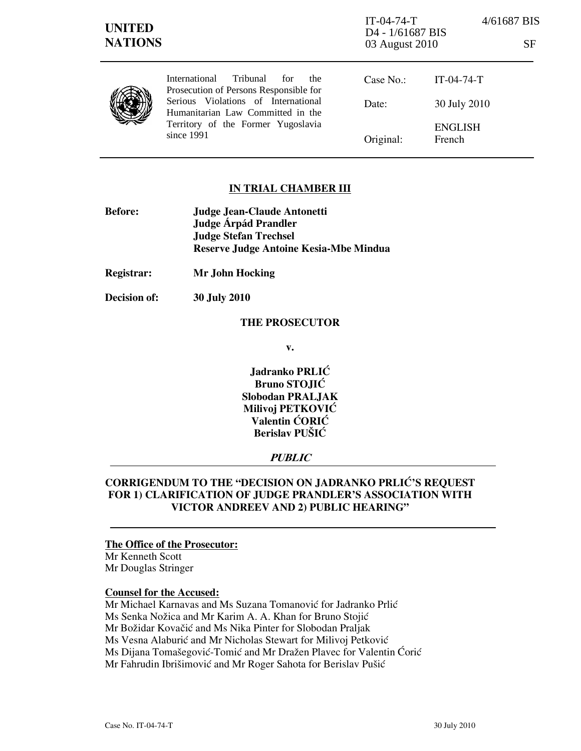| <b>UNITED</b><br><b>NATIONS</b> |                                                                                                                              | $IT-04-74-T$<br>D <sub>4</sub> - 1/61687 BIS<br>03 August 2010 | 4/61687 BIS<br><b>SF</b> |
|---------------------------------|------------------------------------------------------------------------------------------------------------------------------|----------------------------------------------------------------|--------------------------|
|                                 | <b>International</b><br>Tribunal<br>for<br>the<br>Prosecution of Persons Responsible for                                     | Case No.:                                                      | $IT-04-74-T$             |
|                                 | Serious Violations of International<br>Humanitarian Law Committed in the<br>Territory of the Former Yugoslavia<br>since 1991 | Date:                                                          | 30 July 2010             |
|                                 |                                                                                                                              | Original:                                                      | <b>ENGLISH</b><br>French |

### IN TRIAL CHAMBER III

- Before: Judge Jean-Claude Antonetti Judge **Árpád Prandler**  Judge Stefan Trechsel Reserve Judge Antoine Kesia-Mbe Mindua
- Registrar: Mr John Hocking

Decision of: 30 July 2010

### THE PROSECUTOR

v.

Jadranko PRLIĆ Bruno STOJIĆ Slobodan PRALJAK Milivoj PETKOVIĆ Valentin ĆORIĆ Berislav PUŠIĆ

### **PUBLIC**

# CORRIGENDUM TO THE "DECISION ON JADRANKO PRLIĆ'S REQUEST FOR 1) CLARIFICATION OF JUDGE PRANDLER'S ASSOCIATION WITH VICTOR ANDREEV AND 2) PUBLIC HEARING"

## The Office of the Prosecutor:

Mr Kenneth Scott Mr Douglas Stringer

### Counsel for the Accused:

Mr Michael Karnavas and Ms Suzana Tomanović for Jadranko Prlić Ms Senka Nožica and Mr Karim A. A. Khan for Bruno Stojić Mr Božidar Kovačić and Ms Nika Pinter for Slobodan Praljak Ms Vesna Alaburić and Mr Nicholas Stewart for Milivoj Petković Ms Dijana Tomašegović-Tomić and Mr Dražen Plavec for Valentin Ćorić Mr Fahrudin Ibrišimović and Mr Roger Sahota for Berislav Pušić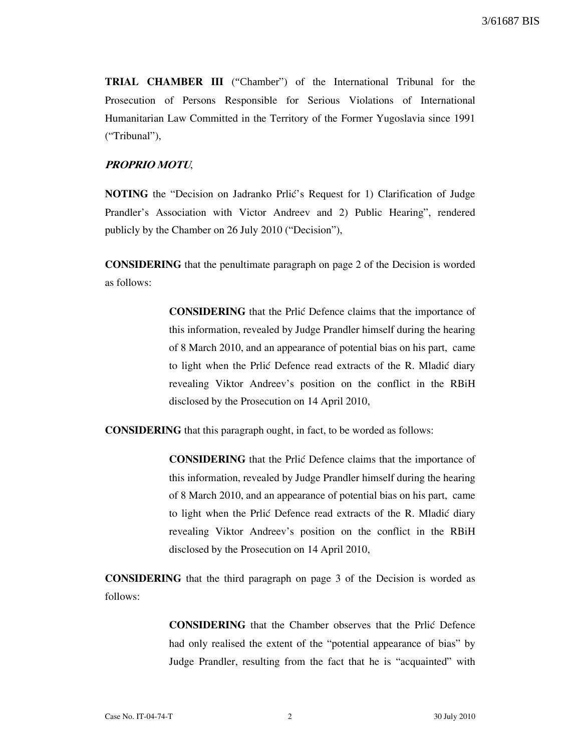TRIAL CHAMBER III ("Chamber") of the International Tribunal for the Prosecution of Persons Responsible for Serious Violations of International Humanitarian Law Committed in the Territory of the Former Yugoslavia since 1991 ("Tribunal"),

### PROPRIO MOTU,

NOTING the "Decision on Jadranko Prlić's Request for 1) Clarification of Judge Prandler's Association with Victor Andreev and 2) Public Hearing", rendered publicly by the Chamber on 26 July 2010 ("Decision"),

CONSIDERING that the penultimate paragraph on page 2 of the Decision is worded as follows:

> CONSIDERING that the Prlić Defence claims that the importance of this information, revealed by Judge Prandler himself during the hearing of 8 March 2010, and an appearance of potential bias on his part, came to light when the Prlić Defence read extracts of the R. Mladić diary revealing Viktor Andreev's position on the conflict in the RBiH disclosed by the Prosecution on 14 April 2010,

CONSIDERING that this paragraph ought, in fact, to be worded as follows:

CONSIDERING that the Prlić Defence claims that the importance of this information, revealed by Judge Prandler himself during the hearing of 8 March 2010, and an appearance of potential bias on his part, came to light when the Prlić Defence read extracts of the R. Mladić diary revealing Viktor Andreev's position on the conflict in the RBiH disclosed by the Prosecution on 14 April 2010,

CONSIDERING that the third paragraph on page 3 of the Decision is worded as follows:

> CONSIDERING that the Chamber observes that the Prlić Defence had only realised the extent of the "potential appearance of bias" by Judge Prandler, resulting from the fact that he is "acquainted" with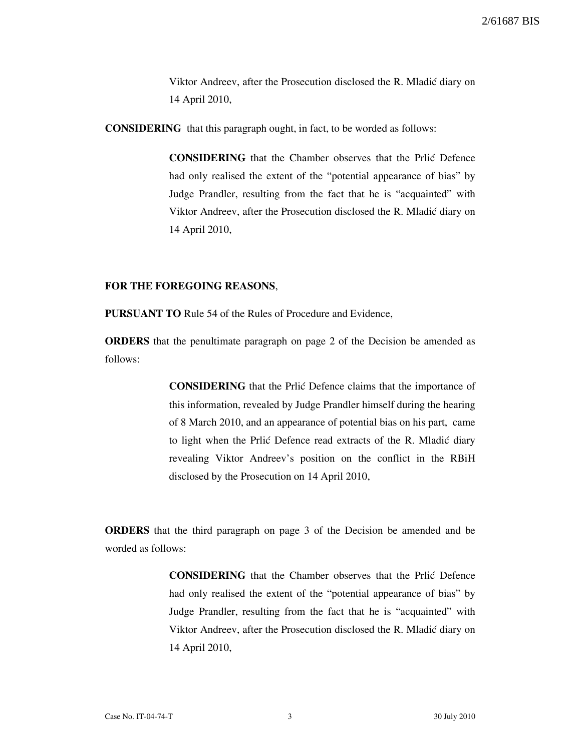Viktor Andreev, after the Prosecution disclosed the R. Mladić diary on 14 April 2010,

CONSIDERING that this paragraph ought, in fact, to be worded as follows:

CONSIDERING that the Chamber observes that the Prli} Defence had only realised the extent of the "potential appearance of bias" by Judge Prandler, resulting from the fact that he is "acquainted" with Viktor Andreev, after the Prosecution disclosed the R. Mladić diary on 14 April 2010,

## FOR THE FOREGOING REASONS,

PURSUANT TO Rule 54 of the Rules of Procedure and Evidence,

ORDERS that the penultimate paragraph on page 2 of the Decision be amended as follows:

> CONSIDERING that the Prlić Defence claims that the importance of this information, revealed by Judge Prandler himself during the hearing of 8 March 2010, and an appearance of potential bias on his part, came to light when the Prlić Defence read extracts of the R. Mladić diary revealing Viktor Andreev's position on the conflict in the RBiH disclosed by the Prosecution on 14 April 2010,

ORDERS that the third paragraph on page 3 of the Decision be amended and be worded as follows:

> CONSIDERING that the Chamber observes that the Prli} Defence had only realised the extent of the "potential appearance of bias" by Judge Prandler, resulting from the fact that he is "acquainted" with Viktor Andreev, after the Prosecution disclosed the R. Mladić diary on 14 April 2010,